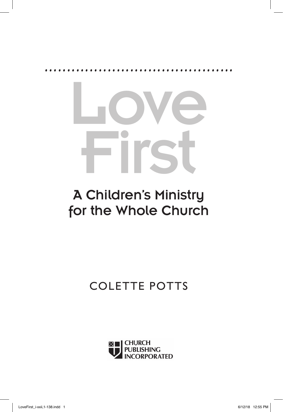

# A Children's Ministry for the Whole Church

## COLETTE POTTS

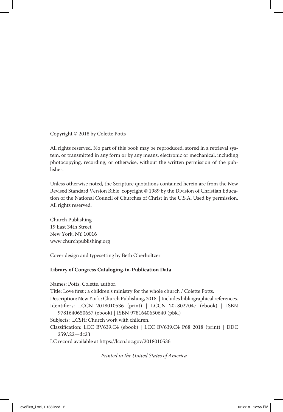Copyright © 2018 by Colette Potts

All rights reserved. No part of this book may be reproduced, stored in a retrieval system, or transmitted in any form or by any means, electronic or mechanical, including photocopying, recording, or otherwise, without the written permission of the publisher.

Unless otherwise noted, the Scripture quotations contained herein are from the New Revised Standard Version Bible, copyright © 1989 by the Division of Christian Education of the National Council of Churches of Christ in the U.S.A. Used by permission. All rights reserved.

Church Publishing 19 East 34th Street New York, NY 10016 www.churchpublishing.org

Cover design and typesetting by Beth Oberholtzer

#### **Library of Congress Cataloging-in-Publication Data**

Names: Potts, Colette, author.

Title: Love first : a children's ministry for the whole church / Colette Potts.

Description: New York : Church Publishing, 2018. | Includes bibliographical references.

Identifiers: LCCN 2018010536 (print) | LCCN 2018027047 (ebook) | ISBN 9781640650657 (ebook) | ISBN 9781640650640 (pbk.)

Subjects: LCSH: Church work with children.

Classification: LCC BV639.C4 (ebook) | LCC BV639.C4 P68 2018 (print) | DDC 259/.22—dc23

LC record available at https://lccn.loc.gov/2018010536

*Printed in the United States of America*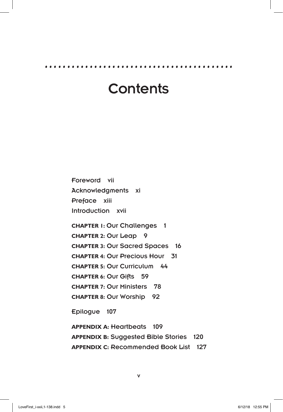**..........................................**

## **Contents**

Foreword vii Acknowledgments xi Preface xiii Introduction xvii

**CHAPTER 1: Our Challenges 1 CHAPTER 2:** Our Leap 9 **CHAPTER 3:** Our Sacred Spaces 16 **CHAPTER 4:** Our Precious Hour 31 **CHAPTER 5:** Our Curriculum 44 **CHAPTER 6:** Our Gifts 59 **CHAPTER 7:** Our Ministers 78 **CHAPTER 8:** Our Worship 92

Epilogue 107

**APPENDIX A:** Heartbeats 109 **APPENDIX B:** Suggested Bible Stories 120 **APPENDIX C:** Recommended Book List 127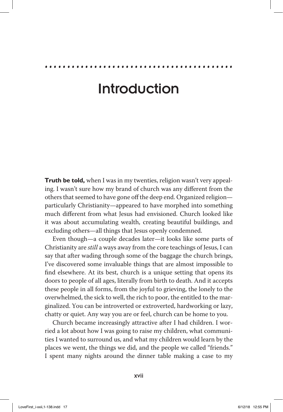**..........................................**

**Truth be told,** when I was in my twenties, religion wasn't very appealing. I wasn't sure how my brand of church was any different from the others that seemed to have gone off the deep end. Organized religion particularly Christianity—appeared to have morphed into something much different from what Jesus had envisioned. Church looked like it was about accumulating wealth, creating beautiful buildings, and excluding others—all things that Jesus openly condemned.

Even though—a couple decades later—it looks like some parts of Christianity are *still* a ways away from the core teachings of Jesus, I can say that after wading through some of the baggage the church brings, I've discovered some invaluable things that are almost impossible to find elsewhere. At its best, church is a unique setting that opens its doors to people of all ages, literally from birth to death. And it accepts these people in all forms, from the joyful to grieving, the lonely to the overwhelmed, the sick to well, the rich to poor, the entitled to the marginalized. You can be introverted or extroverted, hardworking or lazy, chatty or quiet. Any way you are or feel, church can be home to you.

Church became increasingly attractive after I had children. I worried a lot about how I was going to raise my children, what communities I wanted to surround us, and what my children would learn by the places we went, the things we did, and the people we called "friends." I spent many nights around the dinner table making a case to my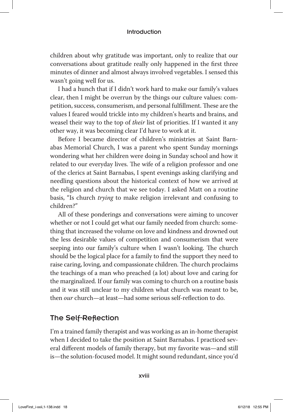children about why gratitude was important, only to realize that our conversations about gratitude really only happened in the first three minutes of dinner and almost always involved vegetables. I sensed this wasn't going well for us.

I had a hunch that if I didn't work hard to make our family's values clear, then I might be overrun by the things our culture values: competition, success, consumerism, and personal fulfillment. These are the values I feared would trickle into my children's hearts and brains, and weasel their way to the top of *their* list of priorities. If I wanted it any other way, it was becoming clear I'd have to work at it.

Before I became director of children's ministries at Saint Barnabas Memorial Church, I was a parent who spent Sunday mornings wondering what her children were doing in Sunday school and how it related to our everyday lives. The wife of a religion professor and one of the clerics at Saint Barnabas, I spent evenings asking clarifying and needling questions about the historical context of how we arrived at the religion and church that we see today. I asked Matt on a routine basis, "Is church *trying* to make religion irrelevant and confusing to children?"

All of these ponderings and conversations were aiming to uncover whether or not I could get what our family needed from church: something that increased the volume on love and kindness and drowned out the less desirable values of competition and consumerism that were seeping into our family's culture when I wasn't looking. The church should be the logical place for a family to find the support they need to raise caring, loving, and compassionate children. The church proclaims the teachings of a man who preached (a lot) about love and caring for the marginalized. If our family was coming to church on a routine basis and it was still unclear to my children what church was meant to be, then *our* church—at least—had some serious self-reflection to do.

### The Self-Reflection

I'm a trained family therapist and was working as an in-home therapist when I decided to take the position at Saint Barnabas. I practiced several different models of family therapy, but my favorite was—and still is—the solution-focused model. It might sound redundant, since you'd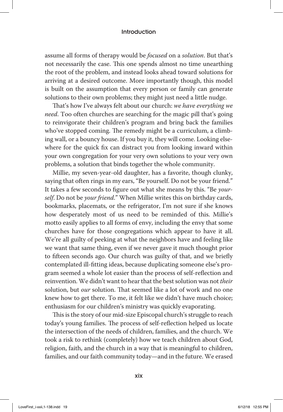assume all forms of therapy would be *focused* on a *solution*. But that's not necessarily the case. This one spends almost no time unearthing the root of the problem, and instead looks ahead toward solutions for arriving at a desired outcome. More importantly though, this model is built on the assumption that every person or family can generate solutions to their own problems; they might just need a little nudge.

That's how I've always felt about our church: *we have everything we need*. Too often churches are searching for the magic pill that's going to reinvigorate their children's program and bring back the families who've stopped coming. The remedy might be a curriculum, a climbing wall, or a bouncy house. If you buy it, they will come. Looking elsewhere for the quick fix can distract you from looking inward within your own congregation for your very own solutions to your very own problems, a solution that binds together the whole community.

Millie, my seven-year-old daughter, has a favorite, though clunky, saying that often rings in my ears, "Be yourself. Do not be your friend." It takes a few seconds to figure out what she means by this. "Be *yourself*. Do not be *your friend*." When Millie writes this on birthday cards, bookmarks, placemats, or the refrigerator, I'm not sure if she knows how desperately most of us need to be reminded of this. Millie's motto easily applies to all forms of envy, including the envy that some churches have for those congregations which appear to have it all. We're all guilty of peeking at what the neighbors have and feeling like we want that same thing, even if we never gave it much thought prior to fifteen seconds ago. Our church was guilty of that, and we briefly contemplated ill-fitting ideas, because duplicating someone else's program seemed a whole lot easier than the process of self-reflection and reinvention. We didn't want to hear that the best solution was not *their* solution, but *our* solution. That seemed like a lot of work and no one knew how to get there. To me, it felt like we didn't have much choice; enthusiasm for our children's ministry was quickly evaporating.

This is the story of our mid-size Episcopal church's struggle to reach today's young families. The process of self-reflection helped us locate the intersection of the needs of children, families, and the church. We took a risk to rethink (completely) how we teach children about God, religion, faith, and the church in a way that is meaningful to children, families, and our faith community today—and in the future. We erased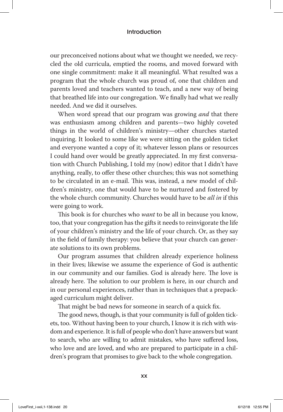our preconceived notions about what we thought we needed, we recycled the old curricula, emptied the rooms, and moved forward with one single commitment: make it all meaningful. What resulted was a program that the whole church was proud of, one that children and parents loved and teachers wanted to teach, and a new way of being that breathed life into our congregation. We finally had what we really needed. And we did it ourselves.

When word spread that our program was growing *and* that there was enthusiasm among children and parents—two highly coveted things in the world of children's ministry—other churches started inquiring. It looked to some like we were sitting on the golden ticket and everyone wanted a copy of it; whatever lesson plans or resources I could hand over would be greatly appreciated. In my first conversation with Church Publishing, I told my (now) editor that I didn't have anything, really, to offer these other churches; this was not something to be circulated in an e-mail. This was, instead, a new model of children's ministry, one that would have to be nurtured and fostered by the whole church community. Churches would have to be *all in* if this were going to work.

This book is for churches who *want* to be all in because you know, too, that your congregation has the gifts it needs to reinvigorate the life of your children's ministry and the life of your church. Or, as they say in the field of family therapy: you believe that your church can generate solutions to its own problems.

Our program assumes that children already experience holiness in their lives; likewise we assume the experience of God is authentic in our community and our families. God is already here. The love is already here. The solution to our problem is here, in our church and in our personal experiences, rather than in techniques that a prepackaged curriculum might deliver.

That might be bad news for someone in search of a quick fix.

The good news, though, is that your community is full of golden tickets, too. Without having been to your church, I know it is rich with wisdom and experience. It is full of people who don't have answers but want to search, who are willing to admit mistakes, who have suffered loss, who love and are loved, and who are prepared to participate in a children's program that promises to give back to the whole congregation.